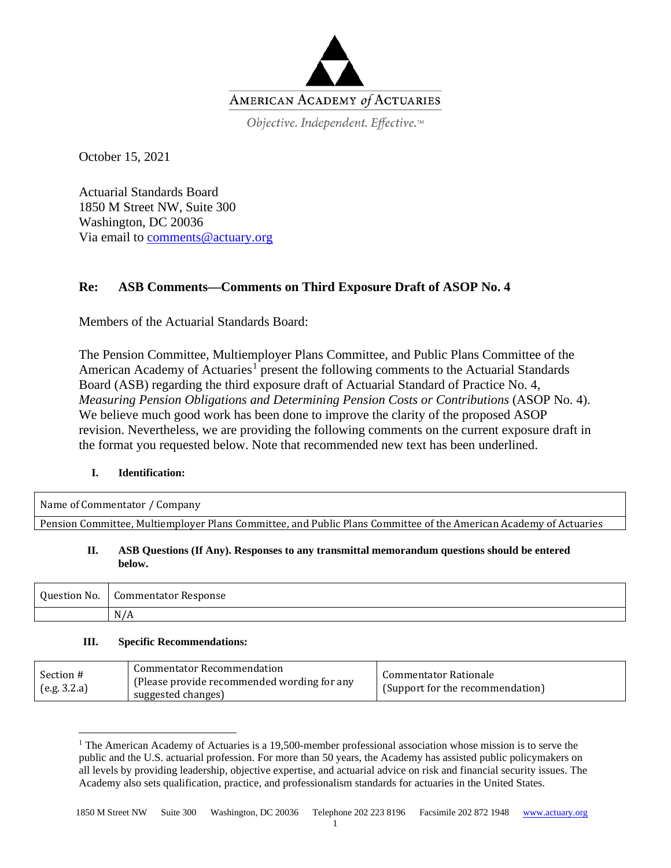

Objective. Independent. Effective.™

October 15, 2021

Actuarial Standards Board 1850 M Street NW, Suite 300 Washington, DC 20036 Via email to [comments@actuary.org](mailto:comments@actuary.org)

# **Re: ASB Comments—Comments on Third Exposure Draft of ASOP No. 4**

Members of the Actuarial Standards Board:

The Pension Committee, Multiemployer Plans Committee, and Public Plans Committee of the American Academy of Actuaries<sup>[1](#page-0-0)</sup> present the following comments to the Actuarial Standards Board (ASB) regarding the third exposure draft of Actuarial Standard of Practice No. 4, *Measuring Pension Obligations and Determining Pension Costs or Contributions* (ASOP No. 4). We believe much good work has been done to improve the clarity of the proposed ASOP revision. Nevertheless, we are providing the following comments on the current exposure draft in the format you requested below. Note that recommended new text has been underlined.

# **I. Identification:**

| Name of Commentator / Company                                                                                     |  |
|-------------------------------------------------------------------------------------------------------------------|--|
| Pension Committee, Multiemployer Plans Committee, and Public Plans Committee of the American Academy of Actuaries |  |

### **II. ASB Questions (If Any). Responses to any transmittal memorandum questions should be entered below.**

| $\mathbf{v}$<br>Question No. | Commentator Response |
|------------------------------|----------------------|
|                              | N/A                  |

### **III. Specific Recommendations:**

| Commentator Recommendation<br>Section #<br>(Please provide recommended wording for any<br>(e.g. 3.2.a)<br>suggested changes) | Commentator Rationale<br>(Support for the recommendation) |
|------------------------------------------------------------------------------------------------------------------------------|-----------------------------------------------------------|
|------------------------------------------------------------------------------------------------------------------------------|-----------------------------------------------------------|

<span id="page-0-0"></span><sup>&</sup>lt;sup>1</sup> The American Academy of Actuaries is a 19,500-member professional association whose mission is to serve the public and the U.S. actuarial profession. For more than 50 years, the Academy has assisted public policymakers on all levels by providing leadership, objective expertise, and actuarial advice on risk and financial security issues. The Academy also sets qualification, practice, and professionalism standards for actuaries in the United States.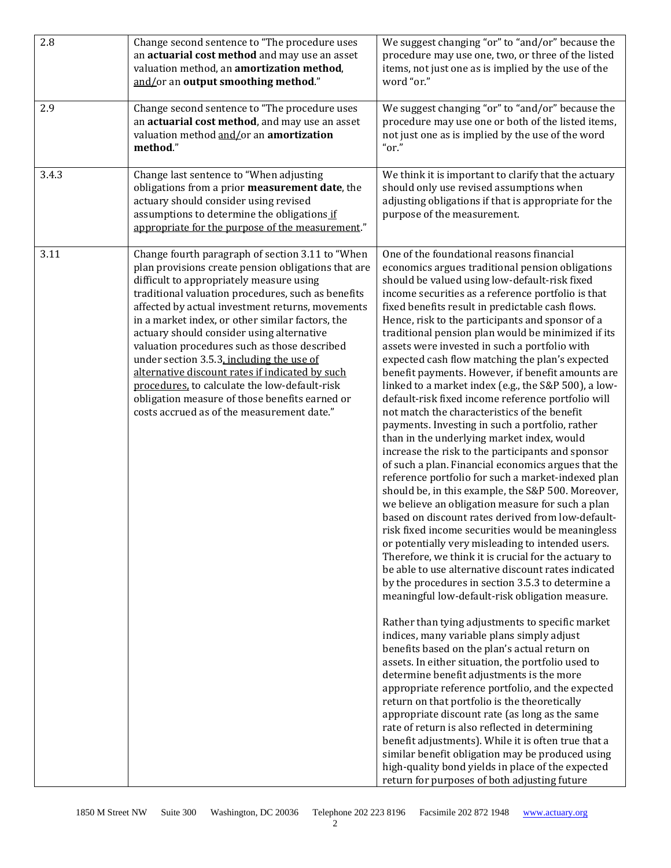| 2.8   | Change second sentence to "The procedure uses<br>an actuarial cost method and may use an asset<br>valuation method, an amortization method,<br>and/or an output smoothing method."                                                                                                                                                                                                                                                                                                                                                                                                                                                                              | We suggest changing "or" to "and/or" because the<br>procedure may use one, two, or three of the listed<br>items, not just one as is implied by the use of the<br>word "or."                                                                                                                                                                                                                                                                                                                                                                                                                                                                                                                                                                                                                                                                                                                                                                                                                                                                                                                                                                                                                                                                                                                                                                                                                                                                                                                                                                                                                                                                                                                                                                                                                                                                                                                                                                                                                                                                                                                                                                   |
|-------|-----------------------------------------------------------------------------------------------------------------------------------------------------------------------------------------------------------------------------------------------------------------------------------------------------------------------------------------------------------------------------------------------------------------------------------------------------------------------------------------------------------------------------------------------------------------------------------------------------------------------------------------------------------------|-----------------------------------------------------------------------------------------------------------------------------------------------------------------------------------------------------------------------------------------------------------------------------------------------------------------------------------------------------------------------------------------------------------------------------------------------------------------------------------------------------------------------------------------------------------------------------------------------------------------------------------------------------------------------------------------------------------------------------------------------------------------------------------------------------------------------------------------------------------------------------------------------------------------------------------------------------------------------------------------------------------------------------------------------------------------------------------------------------------------------------------------------------------------------------------------------------------------------------------------------------------------------------------------------------------------------------------------------------------------------------------------------------------------------------------------------------------------------------------------------------------------------------------------------------------------------------------------------------------------------------------------------------------------------------------------------------------------------------------------------------------------------------------------------------------------------------------------------------------------------------------------------------------------------------------------------------------------------------------------------------------------------------------------------------------------------------------------------------------------------------------------------|
| 2.9   | Change second sentence to "The procedure uses<br>an actuarial cost method, and may use an asset<br>valuation method and/or an amortization<br>method."                                                                                                                                                                                                                                                                                                                                                                                                                                                                                                          | We suggest changing "or" to "and/or" because the<br>procedure may use one or both of the listed items,<br>not just one as is implied by the use of the word<br>" $or."$                                                                                                                                                                                                                                                                                                                                                                                                                                                                                                                                                                                                                                                                                                                                                                                                                                                                                                                                                                                                                                                                                                                                                                                                                                                                                                                                                                                                                                                                                                                                                                                                                                                                                                                                                                                                                                                                                                                                                                       |
| 3.4.3 | Change last sentence to "When adjusting<br>obligations from a prior measurement date, the<br>actuary should consider using revised<br>assumptions to determine the obligations if<br>appropriate for the purpose of the measurement."                                                                                                                                                                                                                                                                                                                                                                                                                           | We think it is important to clarify that the actuary<br>should only use revised assumptions when<br>adjusting obligations if that is appropriate for the<br>purpose of the measurement.                                                                                                                                                                                                                                                                                                                                                                                                                                                                                                                                                                                                                                                                                                                                                                                                                                                                                                                                                                                                                                                                                                                                                                                                                                                                                                                                                                                                                                                                                                                                                                                                                                                                                                                                                                                                                                                                                                                                                       |
| 3.11  | Change fourth paragraph of section 3.11 to "When<br>plan provisions create pension obligations that are<br>difficult to appropriately measure using<br>traditional valuation procedures, such as benefits<br>affected by actual investment returns, movements<br>in a market index, or other similar factors, the<br>actuary should consider using alternative<br>valuation procedures such as those described<br>under section 3.5.3, including the use of<br>alternative discount rates if indicated by such<br>procedures, to calculate the low-default-risk<br>obligation measure of those benefits earned or<br>costs accrued as of the measurement date." | One of the foundational reasons financial<br>economics argues traditional pension obligations<br>should be valued using low-default-risk fixed<br>income securities as a reference portfolio is that<br>fixed benefits result in predictable cash flows.<br>Hence, risk to the participants and sponsor of a<br>traditional pension plan would be minimized if its<br>assets were invested in such a portfolio with<br>expected cash flow matching the plan's expected<br>benefit payments. However, if benefit amounts are<br>linked to a market index (e.g., the S&P 500), a low-<br>default-risk fixed income reference portfolio will<br>not match the characteristics of the benefit<br>payments. Investing in such a portfolio, rather<br>than in the underlying market index, would<br>increase the risk to the participants and sponsor<br>of such a plan. Financial economics argues that the<br>reference portfolio for such a market-indexed plan<br>should be, in this example, the S&P 500. Moreover,<br>we believe an obligation measure for such a plan<br>based on discount rates derived from low-default-<br>risk fixed income securities would be meaningless<br>or potentially very misleading to intended users.<br>Therefore, we think it is crucial for the actuary to<br>be able to use alternative discount rates indicated<br>by the procedures in section 3.5.3 to determine a<br>meaningful low-default-risk obligation measure.<br>Rather than tying adjustments to specific market<br>indices, many variable plans simply adjust<br>benefits based on the plan's actual return on<br>assets. In either situation, the portfolio used to<br>determine benefit adjustments is the more<br>appropriate reference portfolio, and the expected<br>return on that portfolio is the theoretically<br>appropriate discount rate (as long as the same<br>rate of return is also reflected in determining<br>benefit adjustments). While it is often true that a<br>similar benefit obligation may be produced using<br>high-quality bond yields in place of the expected<br>return for purposes of both adjusting future |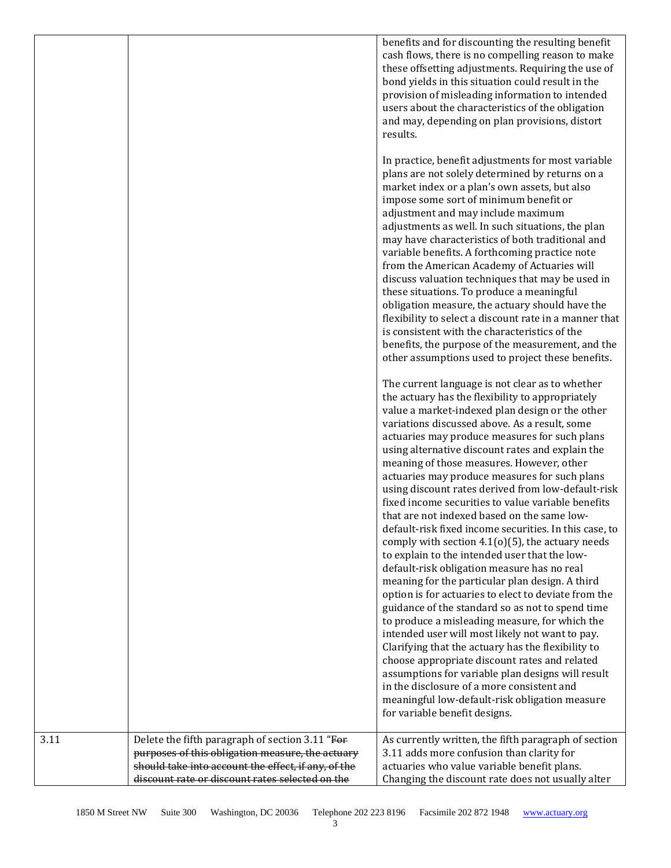benefits and for discounting the resulting benefit cash flows, there is no compelling reason to make these offsetting adjustments. Requiring the use of bond yields in this situation could result in the provision of misleading information to intended users about the characteristics of the obligation and may, depending on plan provisions, distort results.

In practice, benefit adjustments for most variable plans are not solely determined by returns on a market index or a plan's own assets, but also impose some sort of minimum benefit or adjustment and may include maximum adjustments as well. In such situations, the plan may have characteristics of both traditional and variable benefits. A forthcoming practice note from the American Academy of Actuaries will discuss valuation techniques that may be used in these situations. To produce a meaningful obligation measure, the actuary should have the flexibility to select a discount rate in a manner that is consistent with the characteristics of the benefits, the purpose of the measurement, and the other assumptions used to project these benefits.

The current language is not clear as to whether the actuary has the flexibility to appropriately value a market-indexed plan design or the other variations discussed above. As a result, some actuaries may produce measures for such plans using alternative discount rates and explain the meaning of those measures. However, other actuaries may produce measures for such plans using discount rates derived from low-default-risk fixed income securities to value variable benefits that are not indexed based on the same lowdefault-risk fixed income securities. In this case, to comply with section  $4.1(0)(5)$ , the actuary needs to explain to the intended user that the lowdefault-risk obligation measure has no real meaning for the particular plan design. A third option is for actuaries to elect to deviate from the guidance of the standard so as not to spend time to produce a misleading measure, for which the intended user will most likely not want to pay. Clarifying that the actuary has the flexibility to choose appropriate discount rates and related assumptions for variable plan designs will result in the disclosure of a more consistent and meaningful low-default-risk obligation measure for variable benefit designs.

| 3.11 | Delete the fifth paragraph of section 3.11 "For           | As currently written, the fifth paragraph of section |
|------|-----------------------------------------------------------|------------------------------------------------------|
|      | purposes of this obligation measure, the actuary purposes | 3.11 adds more confusion than clarity for            |
|      | should take into account the effect, if any, of the       | actuaries who value variable benefit plans.          |
|      | discount rate or discount rates selected on the           | Changing the discount rate does not usually alter    |
|      |                                                           |                                                      |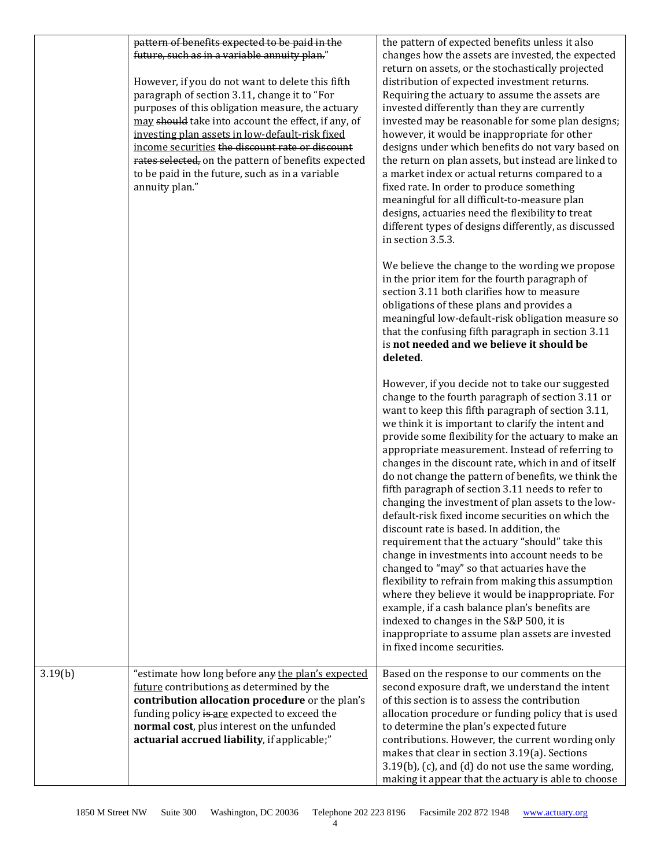|         | pattern of benefits expected to be paid in the<br>future, such as in a variable annuity plan."<br>However, if you do not want to delete this fifth<br>paragraph of section 3.11, change it to "For<br>purposes of this obligation measure, the actuary<br>may should take into account the effect, if any, of<br>investing plan assets in low-default-risk fixed<br>income securities the discount rate or discount<br>rates selected, on the pattern of benefits expected<br>to be paid in the future, such as in a variable<br>annuity plan." | the pattern of expected benefits unless it also<br>changes how the assets are invested, the expected<br>return on assets, or the stochastically projected<br>distribution of expected investment returns.<br>Requiring the actuary to assume the assets are<br>invested differently than they are currently<br>invested may be reasonable for some plan designs;<br>however, it would be inappropriate for other<br>designs under which benefits do not vary based on<br>the return on plan assets, but instead are linked to<br>a market index or actual returns compared to a<br>fixed rate. In order to produce something<br>meaningful for all difficult-to-measure plan<br>designs, actuaries need the flexibility to treat<br>different types of designs differently, as discussed<br>in section 3.5.3.                                                                                                                                                                                                                                                                                           |
|---------|-------------------------------------------------------------------------------------------------------------------------------------------------------------------------------------------------------------------------------------------------------------------------------------------------------------------------------------------------------------------------------------------------------------------------------------------------------------------------------------------------------------------------------------------------|---------------------------------------------------------------------------------------------------------------------------------------------------------------------------------------------------------------------------------------------------------------------------------------------------------------------------------------------------------------------------------------------------------------------------------------------------------------------------------------------------------------------------------------------------------------------------------------------------------------------------------------------------------------------------------------------------------------------------------------------------------------------------------------------------------------------------------------------------------------------------------------------------------------------------------------------------------------------------------------------------------------------------------------------------------------------------------------------------------|
|         |                                                                                                                                                                                                                                                                                                                                                                                                                                                                                                                                                 | We believe the change to the wording we propose<br>in the prior item for the fourth paragraph of<br>section 3.11 both clarifies how to measure<br>obligations of these plans and provides a<br>meaningful low-default-risk obligation measure so<br>that the confusing fifth paragraph in section 3.11<br>is not needed and we believe it should be<br>deleted.                                                                                                                                                                                                                                                                                                                                                                                                                                                                                                                                                                                                                                                                                                                                         |
|         |                                                                                                                                                                                                                                                                                                                                                                                                                                                                                                                                                 | However, if you decide not to take our suggested<br>change to the fourth paragraph of section 3.11 or<br>want to keep this fifth paragraph of section 3.11,<br>we think it is important to clarify the intent and<br>provide some flexibility for the actuary to make an<br>appropriate measurement. Instead of referring to<br>changes in the discount rate, which in and of itself<br>do not change the pattern of benefits, we think the<br>fifth paragraph of section 3.11 needs to refer to<br>changing the investment of plan assets to the low-<br>default-risk fixed income securities on which the<br>discount rate is based. In addition, the<br>requirement that the actuary "should" take this<br>change in investments into account needs to be<br>changed to "may" so that actuaries have the<br>flexibility to refrain from making this assumption<br>where they believe it would be inappropriate. For<br>example, if a cash balance plan's benefits are<br>indexed to changes in the S&P 500, it is<br>inappropriate to assume plan assets are invested<br>in fixed income securities. |
| 3.19(b) | "estimate how long before any the plan's expected<br>future contributions as determined by the<br>contribution allocation procedure or the plan's<br>funding policy is are expected to exceed the<br>normal cost, plus interest on the unfunded<br>actuarial accrued liability, if applicable;"                                                                                                                                                                                                                                                 | Based on the response to our comments on the<br>second exposure draft, we understand the intent<br>of this section is to assess the contribution<br>allocation procedure or funding policy that is used<br>to determine the plan's expected future<br>contributions. However, the current wording only<br>makes that clear in section 3.19(a). Sections<br>3.19(b), (c), and (d) do not use the same wording,<br>making it appear that the actuary is able to choose                                                                                                                                                                                                                                                                                                                                                                                                                                                                                                                                                                                                                                    |

1850 M Street NW Suite 300 Washington, DC 20036 Telephone 202 223 8196 Facsimile 202 872 1948 [www.actuary.org](http://www.actuary.org/)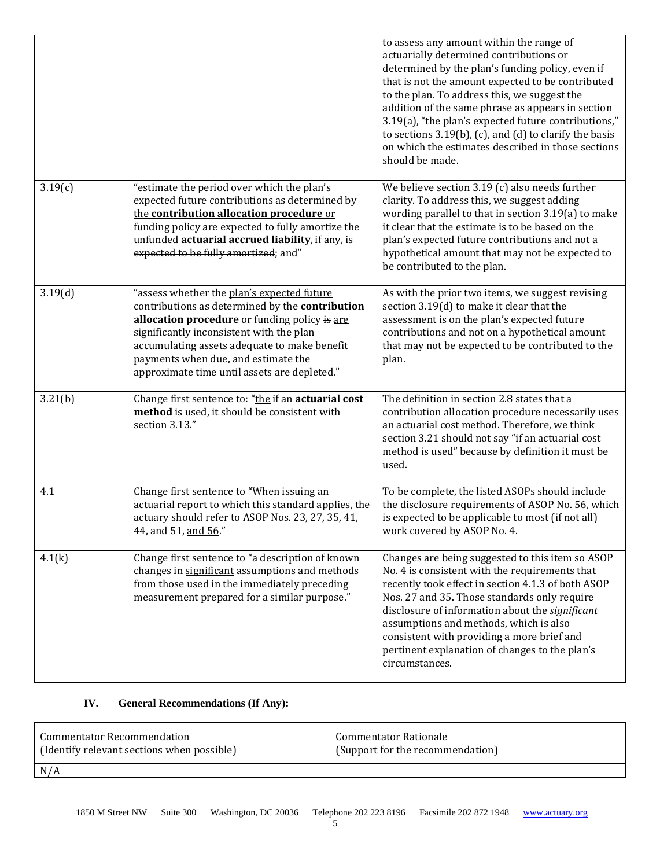|         |                                                                                                                                                                                                                                                                                                                                   | to assess any amount within the range of<br>actuarially determined contributions or<br>determined by the plan's funding policy, even if<br>that is not the amount expected to be contributed<br>to the plan. To address this, we suggest the<br>addition of the same phrase as appears in section<br>3.19(a), "the plan's expected future contributions,"<br>to sections $3.19(b)$ , (c), and (d) to clarify the basis<br>on which the estimates described in those sections<br>should be made. |
|---------|-----------------------------------------------------------------------------------------------------------------------------------------------------------------------------------------------------------------------------------------------------------------------------------------------------------------------------------|-------------------------------------------------------------------------------------------------------------------------------------------------------------------------------------------------------------------------------------------------------------------------------------------------------------------------------------------------------------------------------------------------------------------------------------------------------------------------------------------------|
| 3.19(c) | "estimate the period over which the plan's<br>expected future contributions as determined by<br>the contribution allocation procedure or<br>funding policy are expected to fully amortize the<br>unfunded actuarial accrued liability, if any, is<br>expected to be fully amortized; and"                                         | We believe section $3.19$ (c) also needs further<br>clarity. To address this, we suggest adding<br>wording parallel to that in section 3.19(a) to make<br>it clear that the estimate is to be based on the<br>plan's expected future contributions and not a<br>hypothetical amount that may not be expected to<br>be contributed to the plan.                                                                                                                                                  |
| 3.19(d) | "assess whether the plan's expected future<br>contributions as determined by the contribution<br>allocation procedure or funding policy is are<br>significantly inconsistent with the plan<br>accumulating assets adequate to make benefit<br>payments when due, and estimate the<br>approximate time until assets are depleted." | As with the prior two items, we suggest revising<br>section 3.19(d) to make it clear that the<br>assessment is on the plan's expected future<br>contributions and not on a hypothetical amount<br>that may not be expected to be contributed to the<br>plan.                                                                                                                                                                                                                                    |
| 3.21(b) | Change first sentence to: "the if an actuarial cost<br>method is used, it should be consistent with<br>section 3.13."                                                                                                                                                                                                             | The definition in section 2.8 states that a<br>contribution allocation procedure necessarily uses<br>an actuarial cost method. Therefore, we think<br>section 3.21 should not say "if an actuarial cost<br>method is used" because by definition it must be<br>used.                                                                                                                                                                                                                            |
| 4.1     | Change first sentence to "When issuing an<br>actuarial report to which this standard applies, the<br>actuary should refer to ASOP Nos. 23, 27, 35, 41,<br>44, and 51, and 56."                                                                                                                                                    | To be complete, the listed ASOPs should include<br>the disclosure requirements of ASOP No. 56, which<br>is expected to be applicable to most (if not all)<br>work covered by ASOP No. 4.                                                                                                                                                                                                                                                                                                        |
| 4.1(k)  | Change first sentence to "a description of known<br>changes in significant assumptions and methods<br>from those used in the immediately preceding<br>measurement prepared for a similar purpose."                                                                                                                                | Changes are being suggested to this item so ASOP<br>No. 4 is consistent with the requirements that<br>recently took effect in section 4.1.3 of both ASOP<br>Nos. 27 and 35. Those standards only require<br>disclosure of information about the significant<br>assumptions and methods, which is also<br>consistent with providing a more brief and<br>pertinent explanation of changes to the plan's<br>circumstances.                                                                         |

# **IV. General Recommendations (If Any):**

| Commentator Recommendation                 | Commentator Rationale            |
|--------------------------------------------|----------------------------------|
| (Identify relevant sections when possible) | (Support for the recommendation) |
| N/A                                        |                                  |